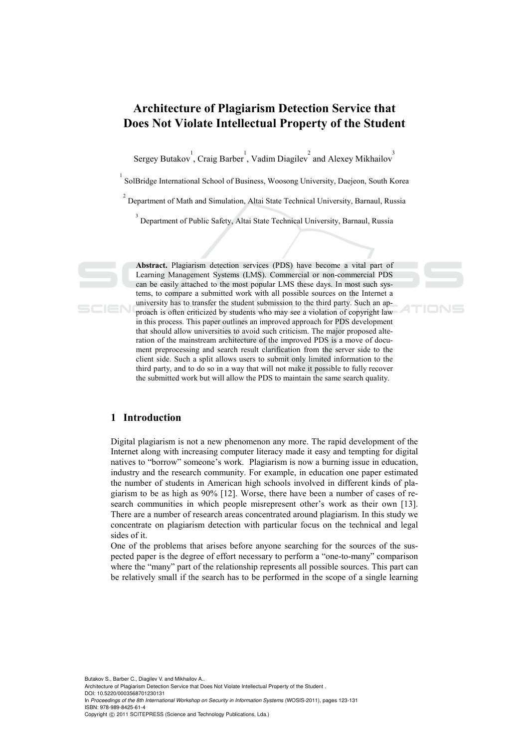# **Architecture of Plagiarism Detection Service that Does Not Violate Intellectual Property of the Student**

Sergey Butakov<sup>1</sup>, Craig Barber<sup>1</sup>, Vadim Diagilev<sup>2</sup> and Alexey Mikhailov<sup>3</sup>

<sup>1</sup> SolBridge International School of Business, Woosong University, Daejeon, South Korea

 $2^{2}$  Department of Math and Simulation, Altai State Technical University, Barnaul, Russia

<sup>3</sup> Department of Public Safety, Altai State Technical University, Barnaul, Russia

**Abstract.** Plagiarism detection services (PDS) have become a vital part of Learning Management Systems (LMS). Commercial or non-commercial PDS can be easily attached to the most popular LMS these days. In most such systems, to compare a submitted work with all possible sources on the Internet a university has to transfer the student submission to the third party. Such an approach is often criticized by students who may see a violation of copyright law in this process. This paper outlines an improved approach for PDS development that should allow universities to avoid such criticism. The major proposed alteration of the mainstream architecture of the improved PDS is a move of document preprocessing and search result clarification from the server side to the client side. Such a split allows users to submit only limited information to the third party, and to do so in a way that will not make it possible to fully recover the submitted work but will allow the PDS to maintain the same search quality.

# **1 Introduction**

Digital plagiarism is not a new phenomenon any more. The rapid development of the Internet along with increasing computer literacy made it easy and tempting for digital natives to "borrow" someone's work. Plagiarism is now a burning issue in education, industry and the research community. For example, in education one paper estimated the number of students in American high schools involved in different kinds of plagiarism to be as high as 90% [12]. Worse, there have been a number of cases of research communities in which people misrepresent other's work as their own [13]. There are a number of research areas concentrated around plagiarism. In this study we concentrate on plagiarism detection with particular focus on the technical and legal sides of it.

One of the problems that arises before anyone searching for the sources of the suspected paper is the degree of effort necessary to perform a "one-to-many" comparison where the "many" part of the relationship represents all possible sources. This part can be relatively small if the search has to be performed in the scope of a single learning

Butakov S., Barber C., Diagilev V. and Mikhailov A..

Architecture of Plagiarism Detection Service that Does Not Violate Intellectual Property of the Student . DOI: 10.5220/0003568701230131

In *Proceedings of the 8th International Workshop on Security in Information Systems* (WOSIS-2011), pages 123-131 ISBN: 978-989-8425-61-4

Copyright © 2011 SCITEPRESS (Science and Technology Publications, Lda.)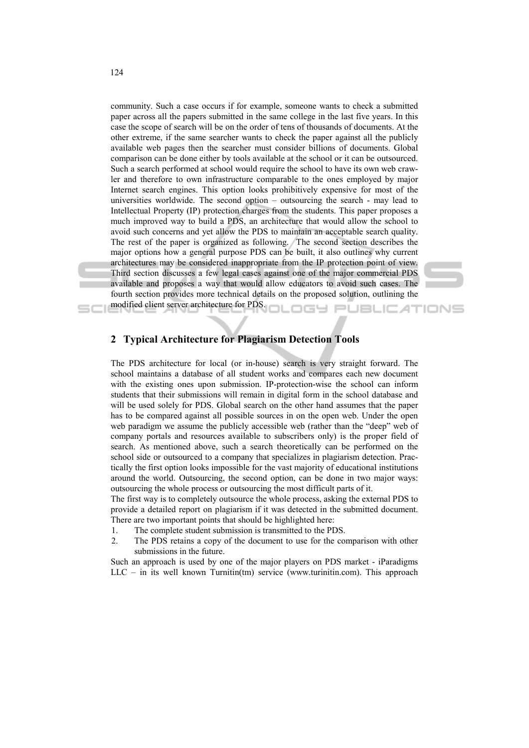community. Such a case occurs if for example, someone wants to check a submitted paper across all the papers submitted in the same college in the last five years. In this case the scope of search will be on the order of tens of thousands of documents. At the other extreme, if the same searcher wants to check the paper against all the publicly available web pages then the searcher must consider billions of documents. Global comparison can be done either by tools available at the school or it can be outsourced. Such a search performed at school would require the school to have its own web crawler and therefore to own infrastructure comparable to the ones employed by major Internet search engines. This option looks prohibitively expensive for most of the universities worldwide. The second option – outsourcing the search - may lead to Intellectual Property (IP) protection charges from the students. This paper proposes a much improved way to build a PDS, an architecture that would allow the school to avoid such concerns and yet allow the PDS to maintain an acceptable search quality. The rest of the paper is organized as following. The second section describes the major options how a general purpose PDS can be built, it also outlines why current architectures may be considered inappropriate from the IP protection point of view. Third section discusses a few legal cases against one of the major commercial PDS available and proposes a way that would allow educators to avoid such cases. The fourth section provides more technical details on the proposed solution, outlining the modified client server architecture for PDS.

# **2 Typical Architecture for Plagiarism Detection Tools**

The PDS architecture for local (or in-house) search is very straight forward. The school maintains a database of all student works and compares each new document with the existing ones upon submission. IP-protection-wise the school can inform students that their submissions will remain in digital form in the school database and will be used solely for PDS. Global search on the other hand assumes that the paper has to be compared against all possible sources in on the open web. Under the open web paradigm we assume the publicly accessible web (rather than the "deep" web of company portals and resources available to subscribers only) is the proper field of search. As mentioned above, such a search theoretically can be performed on the school side or outsourced to a company that specializes in plagiarism detection. Practically the first option looks impossible for the vast majority of educational institutions around the world. Outsourcing, the second option, can be done in two major ways: outsourcing the whole process or outsourcing the most difficult parts of it.

The first way is to completely outsource the whole process, asking the external PDS to provide a detailed report on plagiarism if it was detected in the submitted document. There are two important points that should be highlighted here:

- 1. The complete student submission is transmitted to the PDS.
- 2. The PDS retains a copy of the document to use for the comparison with other submissions in the future.

Such an approach is used by one of the major players on PDS market - iParadigms LLC – in its well known Turnitin(tm) service (www.turinitin.com). This approach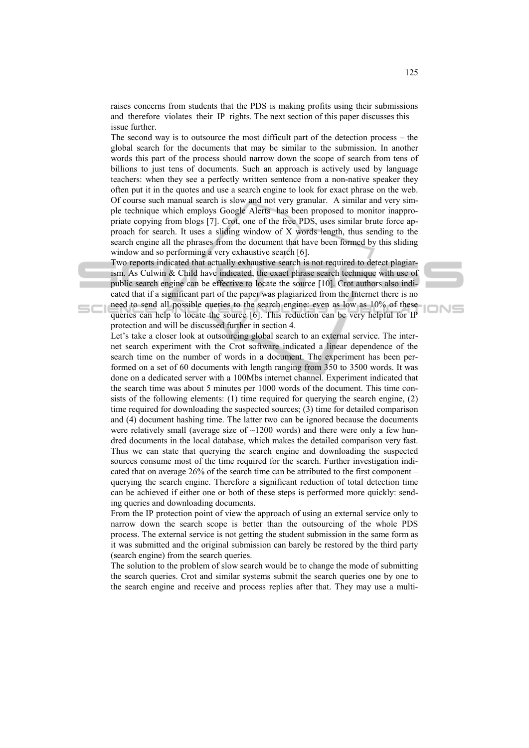raises concerns from students that the PDS is making profits using their submissions and therefore violates their IP rights. The next section of this paper discusses this issue further.

The second way is to outsource the most difficult part of the detection process – the global search for the documents that may be similar to the submission. In another words this part of the process should narrow down the scope of search from tens of billions to just tens of documents. Such an approach is actively used by language teachers: when they see a perfectly written sentence from a non-native speaker they often put it in the quotes and use a search engine to look for exact phrase on the web. Of course such manual search is slow and not very granular. A similar and very simple technique which employs Google Alerts has been proposed to monitor inappropriate copying from blogs [7]. Crot, one of the free PDS, uses similar brute force approach for search. It uses a sliding window of X words length, thus sending to the search engine all the phrases from the document that have been formed by this sliding window and so performing a very exhaustive search [6].

Two reports indicated that actually exhaustive search is not required to detect plagiarism. As Culwin & Child have indicated, the exact phrase search technique with use of public search engine can be effective to locate the source [10]. Crot authors also indicated that if a significant part of the paper was plagiarized from the Internet there is no need to send all possible queries to the search engine: even as low as 10% of these

queries can help to locate the source [6]. This reduction can be very helpful for IP protection and will be discussed further in section 4.

Let's take a closer look at outsourcing global search to an external service. The internet search experiment with the Crot software indicated a linear dependence of the search time on the number of words in a document. The experiment has been performed on a set of 60 documents with length ranging from 350 to 3500 words. It was done on a dedicated server with a 100Mbs internet channel. Experiment indicated that the search time was about 5 minutes per 1000 words of the document. This time consists of the following elements:  $(1)$  time required for querying the search engine,  $(2)$ time required for downloading the suspected sources; (3) time for detailed comparison and (4) document hashing time. The latter two can be ignored because the documents were relatively small (average size of  $\sim$ 1200 words) and there were only a few hundred documents in the local database, which makes the detailed comparison very fast. Thus we can state that querying the search engine and downloading the suspected sources consume most of the time required for the search. Further investigation indicated that on average 26% of the search time can be attributed to the first component – querying the search engine. Therefore a significant reduction of total detection time can be achieved if either one or both of these steps is performed more quickly: sending queries and downloading documents.

From the IP protection point of view the approach of using an external service only to narrow down the search scope is better than the outsourcing of the whole PDS process. The external service is not getting the student submission in the same form as it was submitted and the original submission can barely be restored by the third party (search engine) from the search queries.

The solution to the problem of slow search would be to change the mode of submitting the search queries. Crot and similar systems submit the search queries one by one to the search engine and receive and process replies after that. They may use a multi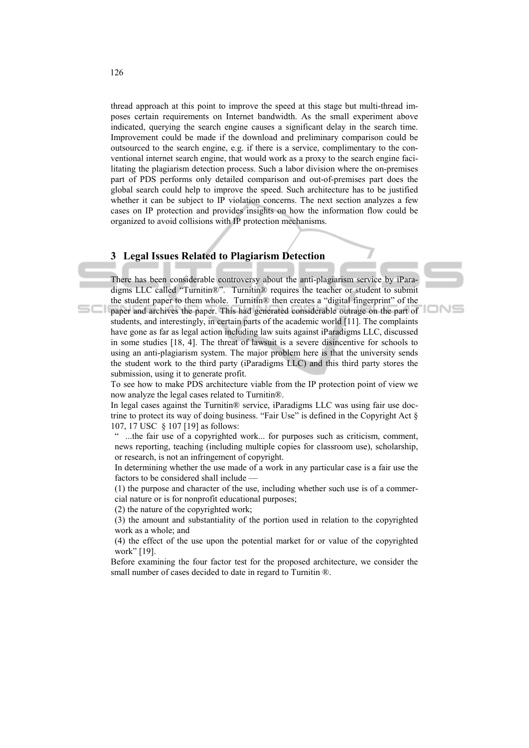thread approach at this point to improve the speed at this stage but multi-thread imposes certain requirements on Internet bandwidth. As the small experiment above indicated, querying the search engine causes a significant delay in the search time. Improvement could be made if the download and preliminary comparison could be outsourced to the search engine, e.g. if there is a service, complimentary to the conventional internet search engine, that would work as a proxy to the search engine facilitating the plagiarism detection process. Such a labor division where the on-premises part of PDS performs only detailed comparison and out-of-premises part does the global search could help to improve the speed. Such architecture has to be justified whether it can be subject to IP violation concerns. The next section analyzes a few cases on IP protection and provides insights on how the information flow could be organized to avoid collisions with IP protection mechanisms.

# **3 Legal Issues Related to Plagiarism Detection**

There has been considerable controversy about the anti-plagiarism service by iParadigms LLC called "Turnitin®". Turnitin® requires the teacher or student to submit the student paper to them whole. Turnitin® then creates a "digital fingerprint" of the paper and archives the paper. This had generated considerable outrage on the part of students, and interestingly, in certain parts of the academic world [11]. The complaints have gone as far as legal action including law suits against iParadigms LLC, discussed in some studies [18, 4]. The threat of lawsuit is a severe disincentive for schools to using an anti-plagiarism system. The major problem here is that the university sends the student work to the third party (iParadigms LLC) and this third party stores the submission, using it to generate profit.

To see how to make PDS architecture viable from the IP protection point of view we now analyze the legal cases related to Turnitin®.

In legal cases against the Turnitin® service, iParadigms LLC was using fair use doctrine to protect its way of doing business. "Fair Use" is defined in the Copyright Act § 107, 17 USC § 107 [19] as follows:

...the fair use of a copyrighted work... for purposes such as criticism, comment, news reporting, teaching (including multiple copies for classroom use), scholarship, or research, is not an infringement of copyright.

In determining whether the use made of a work in any particular case is a fair use the factors to be considered shall include —

(1) the purpose and character of the use, including whether such use is of a commercial nature or is for nonprofit educational purposes;

(2) the nature of the copyrighted work;

(3) the amount and substantiality of the portion used in relation to the copyrighted work as a whole; and

(4) the effect of the use upon the potential market for or value of the copyrighted work" [19].

Before examining the four factor test for the proposed architecture, we consider the small number of cases decided to date in regard to Turnitin  $\mathbb{R}$ .

scı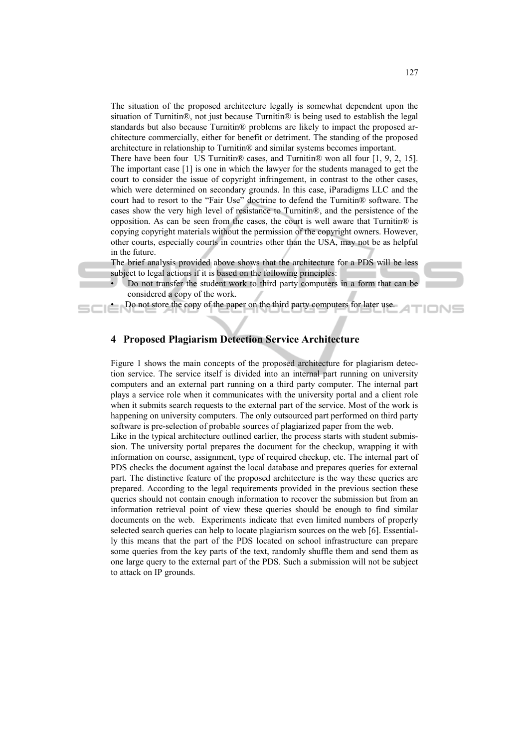The situation of the proposed architecture legally is somewhat dependent upon the situation of Turnitin®, not just because Turnitin® is being used to establish the legal standards but also because Turnitin® problems are likely to impact the proposed architecture commercially, either for benefit or detriment. The standing of the proposed architecture in relationship to Turnitin® and similar systems becomes important.

There have been four US Turnitin® cases, and Turnitin® won all four [1, 9, 2, 15]. The important case [1] is one in which the lawyer for the students managed to get the court to consider the issue of copyright infringement, in contrast to the other cases, which were determined on secondary grounds. In this case, iParadigms LLC and the court had to resort to the "Fair Use" doctrine to defend the Turnitin® software. The cases show the very high level of resistance to Turnitin®, and the persistence of the opposition. As can be seen from the cases, the court is well aware that Turnitin® is copying copyright materials without the permission of the copyright owners. However, other courts, especially courts in countries other than the USA, may not be as helpful in the future.

The brief analysis provided above shows that the architecture for a PDS will be less subject to legal actions if it is based on the following principles:

- Do not transfer the student work to third party computers in a form that can be considered a copy of the work.
	- Do not store the copy of the paper on the third party computers for later use.

# **4 Proposed Plagiarism Detection Service Architecture**

Figure 1 shows the main concepts of the proposed architecture for plagiarism detection service. The service itself is divided into an internal part running on university computers and an external part running on a third party computer. The internal part plays a service role when it communicates with the university portal and a client role when it submits search requests to the external part of the service. Most of the work is happening on university computers. The only outsourced part performed on third party software is pre-selection of probable sources of plagiarized paper from the web.

Like in the typical architecture outlined earlier, the process starts with student submission. The university portal prepares the document for the checkup, wrapping it with information on course, assignment, type of required checkup, etc. The internal part of PDS checks the document against the local database and prepares queries for external part. The distinctive feature of the proposed architecture is the way these queries are prepared. According to the legal requirements provided in the previous section these queries should not contain enough information to recover the submission but from an information retrieval point of view these queries should be enough to find similar documents on the web. Experiments indicate that even limited numbers of properly selected search queries can help to locate plagiarism sources on the web [6]. Essentially this means that the part of the PDS located on school infrastructure can prepare some queries from the key parts of the text, randomly shuffle them and send them as one large query to the external part of the PDS. Such a submission will not be subject to attack on IP grounds.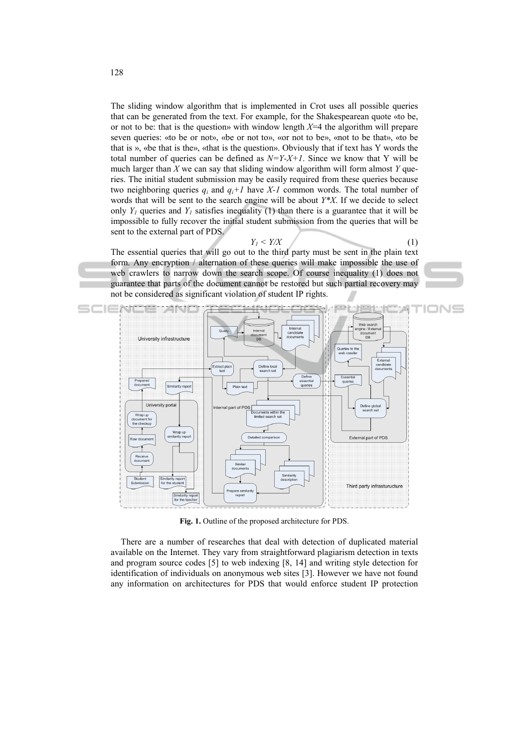The sliding window algorithm that is implemented in Crot uses all possible queries that can be generated from the text. For example, for the Shakespearean quote «to be, or not to be: that is the question» with window length *X*=4 the algorithm will prepare seven queries: «to be or not», «be or not to», «or not to be», «not to be that», «to be that is », «be that is the», «that is the question». Obviously that if text has Y words the total number of queries can be defined as  $N = Y - X + 1$ . Since we know that Y will be much larger than *X* we can say that sliding window algorithm will form almost *Y* queries. The initial student submission may be easily required from these queries because two neighboring queries  $q_i$  and  $q_i+1$  have  $X-1$  common words. The total number of words that will be sent to the search engine will be about *Y\*X*. If we decide to select only  $Y_1$  queries and  $Y_1$  satisfies inequality (1) than there is a guarantee that it will be impossible to fully recover the initial student submission from the queries that will be sent to the external part of PDS.

 $Y_I < Y/X$  (1)

The essential queries that will go out to the third party must be sent in the plain text form. Any encryption / alternation of these queries will make impossible the use of web crawlers to narrow down the search scope. Of course inequality (1) does not guarantee that parts of the document cannot be restored but such partial recovery may not be considered as significant violation of student IP rights.



**Fig. 1.** Outline of the proposed architecture for PDS.

There are a number of researches that deal with detection of duplicated material available on the Internet. They vary from straightforward plagiarism detection in texts and program source codes [5] to web indexing [8, 14] and writing style detection for identification of individuals on anonymous web sites [3]. However we have not found any information on architectures for PDS that would enforce student IP protection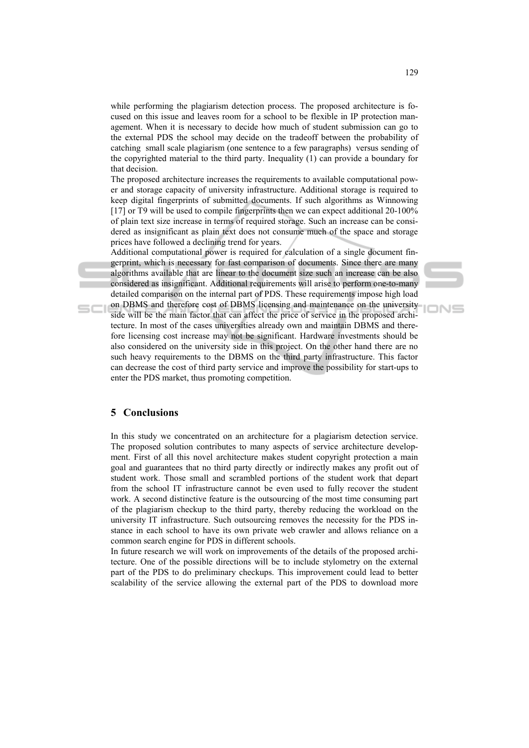while performing the plagiarism detection process. The proposed architecture is focused on this issue and leaves room for a school to be flexible in IP protection management. When it is necessary to decide how much of student submission can go to the external PDS the school may decide on the tradeoff between the probability of catching small scale plagiarism (one sentence to a few paragraphs) versus sending of the copyrighted material to the third party. Inequality (1) can provide a boundary for that decision.

The proposed architecture increases the requirements to available computational power and storage capacity of university infrastructure. Additional storage is required to keep digital fingerprints of submitted documents. If such algorithms as Winnowing [17] or T9 will be used to compile fingerprints then we can expect additional 20-100% of plain text size increase in terms of required storage. Such an increase can be considered as insignificant as plain text does not consume much of the space and storage prices have followed a declining trend for years.

Additional computational power is required for calculation of a single document fingerprint, which is necessary for fast comparison of documents. Since there are many algorithms available that are linear to the document size such an increase can be also considered as insignificant. Additional requirements will arise to perform one-to-many detailed comparison on the internal part of PDS. These requirements impose high load

on DBMS and therefore cost of DBMS licensing and maintenance on the university side will be the main factor that can affect the price of service in the proposed architecture. In most of the cases universities already own and maintain DBMS and therefore licensing cost increase may not be significant. Hardware investments should be also considered on the university side in this project. On the other hand there are no such heavy requirements to the DBMS on the third party infrastructure. This factor can decrease the cost of third party service and improve the possibility for start-ups to enter the PDS market, thus promoting competition.

# **5 Conclusions**

In this study we concentrated on an architecture for a plagiarism detection service. The proposed solution contributes to many aspects of service architecture development. First of all this novel architecture makes student copyright protection a main goal and guarantees that no third party directly or indirectly makes any profit out of student work. Those small and scrambled portions of the student work that depart from the school IT infrastructure cannot be even used to fully recover the student work. A second distinctive feature is the outsourcing of the most time consuming part of the plagiarism checkup to the third party, thereby reducing the workload on the university IT infrastructure. Such outsourcing removes the necessity for the PDS instance in each school to have its own private web crawler and allows reliance on a common search engine for PDS in different schools.

In future research we will work on improvements of the details of the proposed architecture. One of the possible directions will be to include stylometry on the external part of the PDS to do preliminary checkups. This improvement could lead to better scalability of the service allowing the external part of the PDS to download more

IONS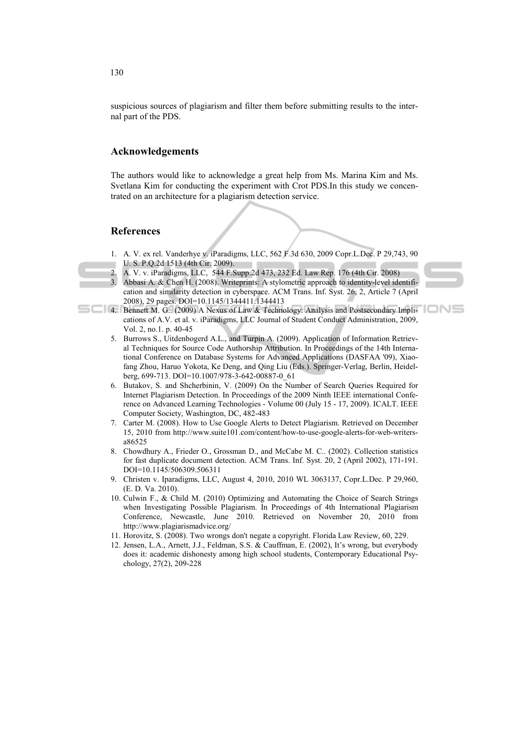suspicious sources of plagiarism and filter them before submitting results to the internal part of the PDS.

#### **Acknowledgements**

The authors would like to acknowledge a great help from Ms. Marina Kim and Ms. Svetlana Kim for conducting the experiment with Crot PDS.In this study we concentrated on an architecture for a plagiarism detection service.

# **References**

- 1. A. V. ex rel. Vanderhye v. iParadigms, LLC, 562 F.3d 630, 2009 Copr.L.Dec. P 29,743, 90 U. S. P.Q.2d 1513 (4th Cir. 2009).
- 2. A. V. v. iParadigms, LLC, 544 F.Supp.2d 473, 232 Ed. Law Rep. 176 (4th Cir. 2008)
- 3. Abbasi A. & Chen H. (2008). Writeprints: A stylometric approach to identity-level identification and similarity detection in cyberspace. ACM Trans. Inf. Syst. 26, 2, Article 7 (April 2008), 29 pages. DOI=10.1145/1344411.1344413



- 4. Bennett M. G.. (2009) A Nexus of Law & Technology: Analysis and Postsecondary Implications of A.V. et al. v. iParadigms, LLC Journal of Student Conduct Administration, 2009, Vol. 2, no.1. p. 40-45
	- 5. Burrows S., Uitdenbogerd A.L., and Turpin A. (2009). Application of Information Retrieval Techniques for Source Code Authorship Attribution. In Proceedings of the 14th International Conference on Database Systems for Advanced Applications (DASFAA '09), Xiaofang Zhou, Haruo Yokota, Ke Deng, and Qing Liu (Eds.). Springer-Verlag, Berlin, Heidelberg, 699-713. DOI=10.1007/978-3-642-00887-0\_61
	- 6. Butakov, S. and Shcherbinin, V. (2009) On the Number of Search Queries Required for Internet Plagiarism Detection. In Proceedings of the 2009 Ninth IEEE international Conference on Advanced Learning Technologies - Volume 00 (July 15 - 17, 2009). ICALT. IEEE Computer Society, Washington, DC, 482-483
	- 7. Carter M. (2008). How to Use Google Alerts to Detect Plagiarism. Retrieved on December 15, 2010 from http://www.suite101.com/content/how-to-use-google-alerts-for-web-writersa86525
	- 8. Chowdhury A., Frieder O., Grossman D., and McCabe M. C.. (2002). Collection statistics for fast duplicate document detection. ACM Trans. Inf. Syst. 20, 2 (April 2002), 171-191. DOI=10.1145/506309.506311
	- 9. Christen v. Iparadigms, LLC, August 4, 2010, 2010 WL 3063137, Copr.L.Dec. P 29,960, (E. D. Va. 2010).
	- 10. Culwin F., & Child M. (2010) Optimizing and Automating the Choice of Search Strings when Investigating Possible Plagiarism. In Proceedings of 4th International Plagiarism Conference, Newcastle, June 2010. Retrieved on November 20, 2010 from http://www.plagiarismadvice.org/
	- 11. Horovitz, S. (2008). Two wrongs don't negate a copyright. Florida Law Review, 60, 229.
	- 12. Jensen, L.A., Arnett, J.J., Feldman, S.S. & Cauffman, E. (2002), It's wrong, but everybody does it: academic dishonesty among high school students, Contemporary Educational Psychology, 27(2), 209-228